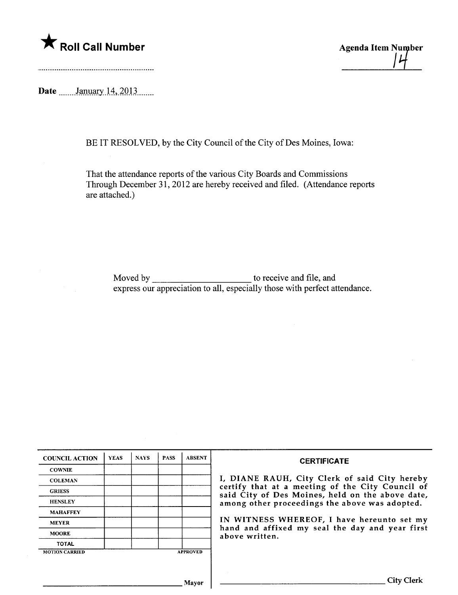

Date \_\_\_\_\_\_\_January 14, 2013 \_\_\_\_.

BE IT RESOLVED, by the City Council of the City of Des Moines, Iowa:

That the attendance reports of the various City Boards and Commissions Through December 31,2012 are hereby received and filed. (Attendance reports are attached.)

Moved by to receive and fie, and express our appreciation to all, especially those with perfect attendance.

| <b>COUNCIL ACTION</b> | <b>YEAS</b> | <b>NAYS</b> | <b>PASS</b> | <b>ABSENT</b>   | <b>CERTIFICATE</b>                                                                                   |
|-----------------------|-------------|-------------|-------------|-----------------|------------------------------------------------------------------------------------------------------|
| <b>COWNIE</b>         |             |             |             |                 |                                                                                                      |
| <b>COLEMAN</b>        |             |             |             |                 | I, DIANE RAUH, City Clerk of said City hereby                                                        |
| <b>GRIESS</b>         |             |             |             |                 | certify that at a meeting of the City Council of<br>said City of Des Moines, held on the above date, |
| <b>HENSLEY</b>        |             |             |             |                 | among other proceedings the above was adopted.                                                       |
| <b>MAHAFFEY</b>       |             |             |             |                 |                                                                                                      |
| <b>MEYER</b>          |             |             |             |                 | IN WITNESS WHEREOF, I have hereunto set my                                                           |
| <b>MOORE</b>          |             |             |             |                 | hand and affixed my seal the day and year first<br>above written.                                    |
| <b>TOTAL</b>          |             |             |             |                 |                                                                                                      |
| <b>MOTION CARRIED</b> |             |             |             | <b>APPROVED</b> |                                                                                                      |
|                       |             |             |             |                 |                                                                                                      |
|                       |             |             |             |                 |                                                                                                      |
|                       |             |             |             | Mayor           | City Clerk                                                                                           |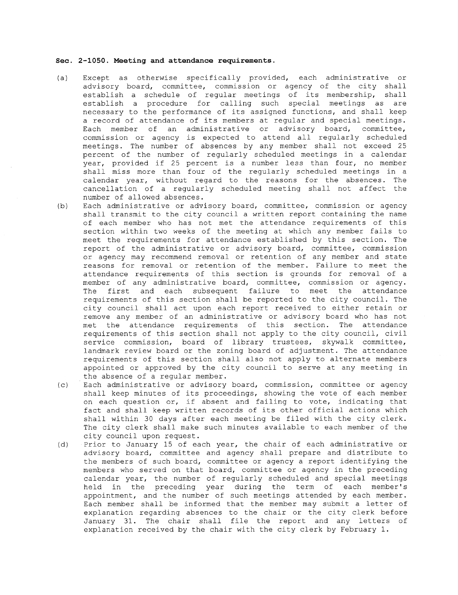### Sec. 2-1050. Meeting and attendance requirements.

- (a) Except as otherwise specifically provided, each administrative or advisory board, committee, commission or agency of the city shall establish a schedule of regular meetings of its membership, shall establish a procedure for calling such special meetings as are necessary to the performance of its assigned functions, and shall keep a record of attendance of its members at regular and special meetings. Each member of an administrative or advisory board, committee, commission or agency is expected to attend all regularly scheduled meetings. The number of absences by any member shall not exceed 25 percent of the number of regularly scheduled meetings in a calendar year, provided if 25 percent is a number less than four, no member shall miss more than four of the regularly scheduled meetings in a calendar year, without regard to the reasons for the absences. The cancellation of a regularly scheduled meeting shall not affect the number of allowed absences.
- (b) Each administrative or advisory board, committee, commission or agency shall transmit to the city council a written report containing the name of each member who has not met the attendance requirements of this section within two weeks of the meeting at which any member fails to meet the requirements for attendance established by this section. The report of the administrative or advisory board, committee, commission or agency may recommend removal or retention of any member and state reasons for removal or retention of the member. Failure to meet the attendance requirements of this section is grounds for removal of a member of any administrative board, committee, commission or agency. The first and each subsequent failure to meet the attendance requirements of this section shall be reported to the city council. The city council shall act upon each report received to either retain or remove any member of an administrative or advisory board who has not met the attendance requirements of this section. The attendance requirements of this section shall not apply to the city council, civil service commission, board of library trustees, skywalk committee, landmark review board or the zoning board of adjustment. The attendance requirements of this section shall also not apply to alternate members appointed or approved by the city council to serve at any meeting in the absence of a regular member.
- (c) Each administrative or advisory board, commission, committee or agency shall keep minutes of its proceedings, showing the vote of each member on each question or, if absent and failing to vote, indicating that fact and shall keep written records of its other official actions which shall within 30 days after each meeting be filed with the city clerk. The city clerk shall make such minutes available to each member of the city council upon request.
- (d) Prior to January 15 of each year, the chair of each administrative or advisory board, committee and agency shall prepare and distribute to the members of such board, committee or agency a report identifying the members who served on that board, committee or agency in the preceding calendar year, the number of regularly scheduled and special meetings held in the preceding year during the term of each member's appointment, and the number of such meetings attended by each member. Each member shall be informed that the member may submit a letter of explanation regarding absences to the chair or the city clerk before January 31. The chair shall file the report and any letters of explanation received by the chair with the city clerk by February 1.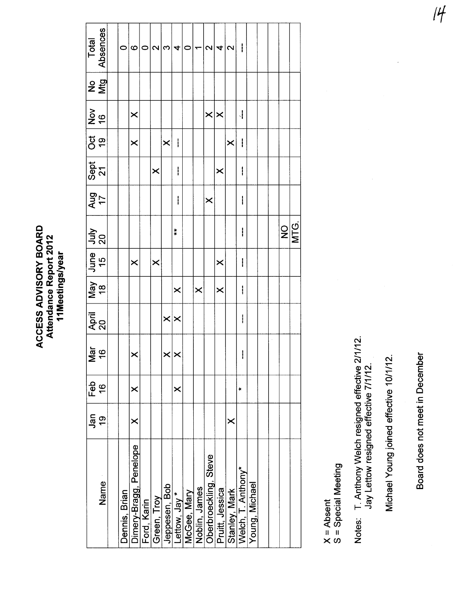| <b>Total</b>                     | Absences       | $\circ$       | ပ                       | $\circ$     | $\mathbf{\Omega}$       | S             | 4                       | $\circ$     | ۳             | $\mathbf{\Omega}$     | 4                       | 2              | I                                   |                |  |                                |  |
|----------------------------------|----------------|---------------|-------------------------|-------------|-------------------------|---------------|-------------------------|-------------|---------------|-----------------------|-------------------------|----------------|-------------------------------------|----------------|--|--------------------------------|--|
|                                  | $2\frac{9}{2}$ |               |                         |             |                         |               |                         |             |               |                       |                         |                |                                     |                |  |                                |  |
| $\frac{96}{10}$                  |                |               | $\times$                |             |                         |               |                         |             |               | $\times \times$       |                         |                | $\frac{1}{2}$                       |                |  |                                |  |
| $rac{1}{6}$                      |                |               | $\overline{\mathsf{x}}$ |             |                         | $\times$      | I                       |             |               |                       |                         | $\times$       | I                                   |                |  |                                |  |
| $\frac{25}{27}$                  |                |               |                         |             | $\times$                |               | ļ                       |             |               |                       | $\times$                |                | I                                   |                |  |                                |  |
| $\frac{1}{1}$ and $\frac{17}{1}$ |                |               |                         |             |                         |               | $\mathbf{i}$            |             |               | $\times$              |                         |                | I                                   |                |  |                                |  |
|                                  |                |               |                         |             |                         |               | $\ddot{\phantom{0}}$    |             |               |                       |                         |                | I                                   |                |  | $\frac{1}{2}$<br>$\frac{1}{2}$ |  |
| 07 94 94 94<br>Ann   94 Ann      |                |               | $\boldsymbol{\times}$   |             | $\overline{\mathsf{x}}$ |               |                         |             |               |                       | $\pmb{\times}$          |                | I                                   |                |  |                                |  |
|                                  |                |               |                         |             |                         |               | $\times$                |             | $\times$      |                       | $\overline{\mathsf{X}}$ |                | I                                   |                |  |                                |  |
| April<br>20                      |                |               |                         |             |                         | $\times$      | $\overline{\mathsf{X}}$ |             |               |                       |                         |                | I                                   |                |  |                                |  |
|                                  | Mar<br>16      |               | ×                       |             |                         |               | $\times \times$         |             |               |                       |                         |                | I                                   |                |  |                                |  |
| Feb                              | $\frac{6}{1}$  |               | ×                       |             |                         |               | $\pmb{\times}$          |             |               |                       |                         |                | ×                                   |                |  |                                |  |
| Jan                              | $\frac{6}{1}$  |               | $\times$                |             |                         |               |                         |             |               |                       |                         | $\pmb{\times}$ |                                     |                |  |                                |  |
|                                  | Name           | Dennis, Brian | Dimery-Bragg, Penelope  | Ford, Karin | Green, Troy             | Jeppesen, Bob | Lettow, Jay *           | McGee, Mary | Noblin, James | Oberbroeckling, Steve | Pruitt, Jessica         |                | Stanley, Mark<br>Welch, T. Anthony* | Young, Michael |  |                                |  |

X = Absent<br>S = Special Meeting

Notes: T. Anthony Welch resigned effective 2/1/12.<br>Jay Lettow resigned effective 7/1/12.

Michael Young joined effective 10/1/12.

Board does not meet in December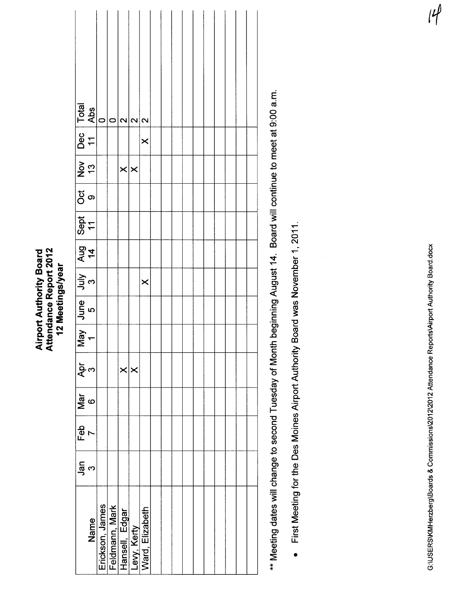|                       | Dec  Total<br>  11   Abs                                                                                | $\circ$ | 0 | $\overline{\mathbf{C}}$                                                               | $\mathbf{\Omega}$ | $\mathbf{\Omega}$ |  |  |  |  |  |
|-----------------------|---------------------------------------------------------------------------------------------------------|---------|---|---------------------------------------------------------------------------------------|-------------------|-------------------|--|--|--|--|--|
|                       |                                                                                                         |         |   |                                                                                       |                   | $\times$          |  |  |  |  |  |
|                       | $\frac{1}{\frac{1}{2} \cdot \frac{1}{2}}$                                                               |         |   | $\times$ $\times$                                                                     |                   |                   |  |  |  |  |  |
|                       | ರ<br>ಶ                                                                                                  |         |   |                                                                                       |                   |                   |  |  |  |  |  |
|                       | Sept<br>11                                                                                              |         |   |                                                                                       |                   |                   |  |  |  |  |  |
|                       | $\frac{4}{4}$                                                                                           |         |   |                                                                                       |                   |                   |  |  |  |  |  |
|                       |                                                                                                         |         |   |                                                                                       |                   | $\times$          |  |  |  |  |  |
|                       | $\begin{array}{c c c c} \text{May} & \text{June} & \text{July} & \text{ { } \\ 1 & 5 & 3 & \end{array}$ |         |   |                                                                                       |                   |                   |  |  |  |  |  |
|                       |                                                                                                         |         |   |                                                                                       |                   |                   |  |  |  |  |  |
| م <del>ب</del> ة<br>م |                                                                                                         |         |   | $\times$                                                                              | ∣×                |                   |  |  |  |  |  |
|                       | $\frac{1}{2}$                                                                                           |         |   |                                                                                       |                   |                   |  |  |  |  |  |
| Feb                   |                                                                                                         |         |   |                                                                                       |                   |                   |  |  |  |  |  |
| $\frac{1}{2}$         | m                                                                                                       |         |   |                                                                                       |                   |                   |  |  |  |  |  |
|                       | <b>Name</b>                                                                                             |         |   | Erickson, James<br>Feldmann, Mark<br>Hansell, Edgar<br>Levy, Kerty<br>Ward, Elizabeth |                   |                   |  |  |  |  |  |

**Airport Authority Board<br>Attendance Report 2012** 

12 Meetings/year

\*\* Meeting dates will change to second Tuesday of Month beginning August 14. Board will continue to meet at 9:00 a.m.

• First Meeting for the Des Moines Airport Authority Board was November 1, 2011.

G:\USERS\KMHerzberg\Boards & Commissions\2012\2012 Attendance Reports\Airport Authority Board.docx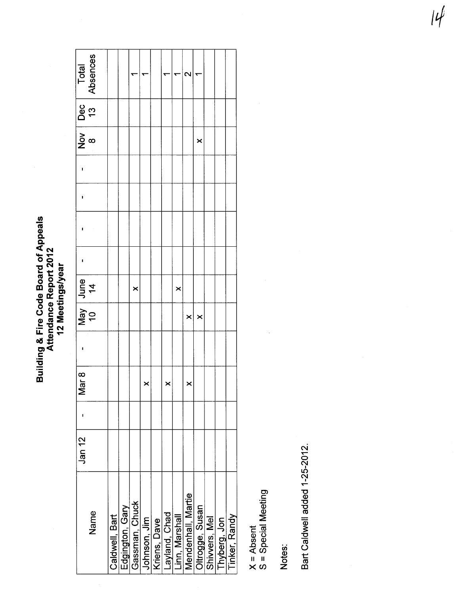**Building & Fire Code Board of Appeals<br>Attendance Report 2012<br>12 Meetings/year** 

| Name               | Jan 12 | $\frac{1}{r}$<br><u>S</u> | May June<br>10 14 |   |  |  | $\frac{1}{2}$ $\frac{1}{2}$ | Dec<br>13 | Absences<br>Total |
|--------------------|--------|---------------------------|-------------------|---|--|--|-----------------------------|-----------|-------------------|
| Caldwell, Bart     |        |                           |                   |   |  |  |                             |           |                   |
| Edgington, Gary    |        |                           |                   |   |  |  |                             |           |                   |
| Gassman, Chuck     |        |                           |                   | × |  |  |                             |           |                   |
| Johnson, Jim       |        |                           |                   |   |  |  |                             |           |                   |
| Kriens, Dave       |        |                           |                   |   |  |  |                             |           |                   |
| ayland, Chad       |        |                           |                   |   |  |  |                             |           |                   |
| Linn, Marshall     |        |                           |                   | × |  |  |                             |           |                   |
| Mendenhall, Martie |        |                           | $\times$          |   |  |  |                             |           | c                 |
| Oltrogge, Susan    |        |                           | ×                 |   |  |  | ×                           |           |                   |
| Shivvers, Mel      |        |                           |                   |   |  |  |                             |           |                   |
| Thyberg, Jon       |        |                           |                   |   |  |  |                             |           |                   |
| Tinker, Randy      |        |                           |                   |   |  |  |                             |           |                   |

X = Absent<br>S = Special Meeting

 $\ddot{\phantom{0}}$ 

Notes:

Bart Caldwell added 1-25-2012.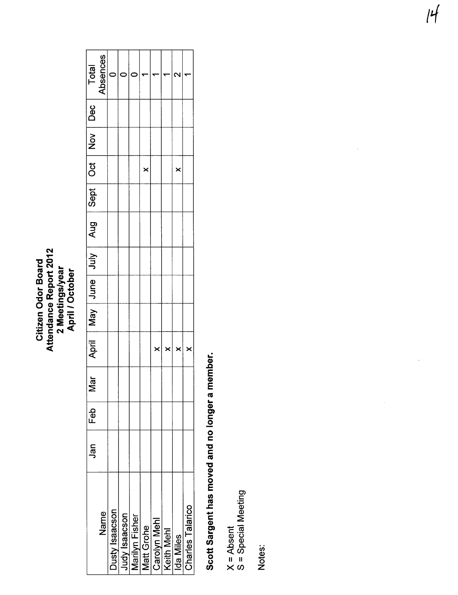### Attendance Report 2012<br>2 Meetings/year<br>April / October Attendance Report 2012 Citizen Odor Board Citizen Odor Board 2 Meetings/year April/ October

|                                 | Jan | Feb | Mar |          | April   May   June   July | Aug Sept Oct |          | $\frac{1}{2}$ | Dec | Total           |
|---------------------------------|-----|-----|-----|----------|---------------------------|--------------|----------|---------------|-----|-----------------|
| Name                            |     |     |     |          |                           |              |          |               |     | <b>Absences</b> |
| Dusty Isaacson                  |     |     |     |          |                           |              |          |               |     |                 |
|                                 |     |     |     |          |                           |              |          |               |     |                 |
| Judy Isaacson<br>Marilyn Fisher |     |     |     |          |                           |              |          |               |     |                 |
|                                 |     |     |     |          |                           |              | $\times$ |               |     |                 |
| Matt Grohe<br>Carolyn Mehl      |     |     |     | $\times$ |                           |              |          |               |     |                 |
| Keith Mehl                      |     |     |     | $\times$ |                           |              |          |               |     |                 |
| Ida Miles                       |     |     |     |          |                           |              | $\times$ |               |     |                 |
| <b>Charles Talarico</b>         |     |     |     |          |                           |              |          |               |     |                 |
|                                 |     |     |     |          |                           |              |          |               |     |                 |

## Scott Sargent has moved and no longer a member. Scott Sargent has moved and no longer a member.

X = Absent<br>S = Special Meeting S = Special Meeting Notes: --~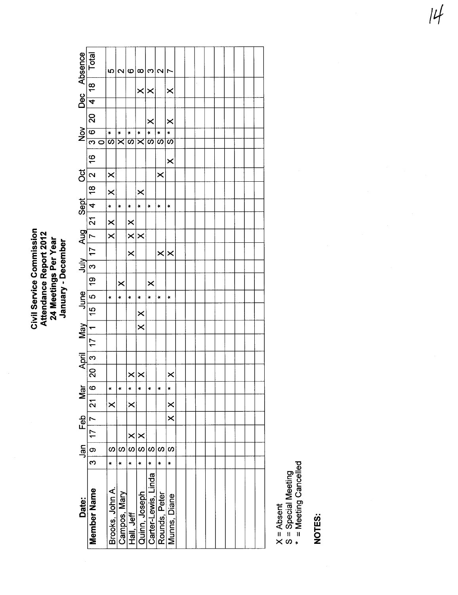Civil Service Commission<br>Attendance Report 2012<br>24 Meetings Per Year<br>January - December

| Dec Absence   | Total                    |   | မာ                  | $\overline{\mathbf{C}}$ | ဖ                        | $\infty$                 | ო                                    | $\mathbf{\Omega}$                | r                                |  |  |  |  |  |
|---------------|--------------------------|---|---------------------|-------------------------|--------------------------|--------------------------|--------------------------------------|----------------------------------|----------------------------------|--|--|--|--|--|
|               | 4  18                    |   |                     |                         |                          | $\times$                 | $\times$                             |                                  | ×                                |  |  |  |  |  |
|               |                          |   |                     |                         |                          |                          |                                      |                                  |                                  |  |  |  |  |  |
|               | $\overline{20}$          |   |                     |                         |                          |                          | $\times$                             |                                  | $\times$                         |  |  |  |  |  |
| $\frac{8}{2}$ | $\frac{1}{3}$            |   | $\mathbf{k}$        | ×                       | $\star$                  | ×                        | ×                                    | ¥                                | ×                                |  |  |  |  |  |
|               |                          | ō | $\overline{\bf{c}}$ | $\overline{\mathsf{x}}$ | $\overline{\bm{\omega}}$ | $\overline{\varkappa}$   | $\overline{\boldsymbol{\omega}}$     | $\overline{\boldsymbol{\omega}}$ | $\overline{\boldsymbol{\omega}}$ |  |  |  |  |  |
|               | $\frac{6}{1}$            |   |                     |                         |                          |                          |                                      |                                  | $\times$                         |  |  |  |  |  |
| ö             | $\overline{\mathbf{r}}$  |   | $\times$            |                         |                          |                          |                                      | $\times$                         |                                  |  |  |  |  |  |
|               |                          |   | $\times$            |                         |                          | ×                        |                                      |                                  |                                  |  |  |  |  |  |
| Sept          |                          |   | ¥                   | $\pmb{\ast}$            | $\pmb{\ast}$             | ×                        | ×                                    | $\ddot{}$                        | $\ast$                           |  |  |  |  |  |
|               |                          |   | $\times$            |                         | $\times$                 |                          |                                      |                                  |                                  |  |  |  |  |  |
|               |                          |   | $\times$            |                         | $\times$                 | $\times$                 |                                      |                                  |                                  |  |  |  |  |  |
| July Aug      | 3   17   7   21   4   18 |   |                     |                         | $\times$                 |                          |                                      | $\times$                         | $\times$                         |  |  |  |  |  |
|               |                          |   |                     |                         |                          |                          |                                      |                                  |                                  |  |  |  |  |  |
|               | 5 19                     |   |                     | $\times$                |                          |                          | ×                                    |                                  |                                  |  |  |  |  |  |
| June          |                          |   | $\star$             | ×                       | ¥                        | ¥                        | k                                    | ×                                | ×                                |  |  |  |  |  |
|               |                          |   |                     |                         |                          | $\times$                 |                                      |                                  |                                  |  |  |  |  |  |
| Vay           |                          |   |                     |                         |                          | $\times$                 |                                      |                                  |                                  |  |  |  |  |  |
|               | 20   3   17   1   15     |   |                     |                         |                          |                          |                                      |                                  |                                  |  |  |  |  |  |
| April         |                          |   |                     |                         |                          |                          |                                      |                                  |                                  |  |  |  |  |  |
|               |                          |   |                     |                         |                          | $\times \times$          |                                      |                                  | $\times$                         |  |  |  |  |  |
| Mar           |                          |   | ×                   | ×                       | $\mathbf{k}$             | ×                        | $\ddot{}$                            | $\star$                          | ×                                |  |  |  |  |  |
|               | 3   9   17   7   21   6  |   | $\times$            |                         | $\times$                 |                          |                                      |                                  | $\times$                         |  |  |  |  |  |
|               |                          |   |                     |                         |                          |                          |                                      |                                  | $\overline{\mathsf{x}}$          |  |  |  |  |  |
| Jan Feb       |                          |   |                     |                         | $\times$                 | $\times$                 |                                      |                                  |                                  |  |  |  |  |  |
|               |                          |   | S                   | S                       | $\omega$                 | $\overline{\mathcal{S}}$ | S                                    | S                                | S)                               |  |  |  |  |  |
|               |                          |   | ×                   | ×                       | ¥                        | $\ddot{\phantom{1}}$     | ¥                                    | ÷.                               | ¥                                |  |  |  |  |  |
| Date:         | Member Name              |   | Brooks, John A.     | Campos, Mary            | Hall, Jeff               |                          | Quinn, Joseph<br>Carter-Lewis, Linda | Rounds, Peter                    | Munns, Diane                     |  |  |  |  |  |

X = Absent<br>S = Special Meeting<br>\* = Meeting Cancelled

NOTES: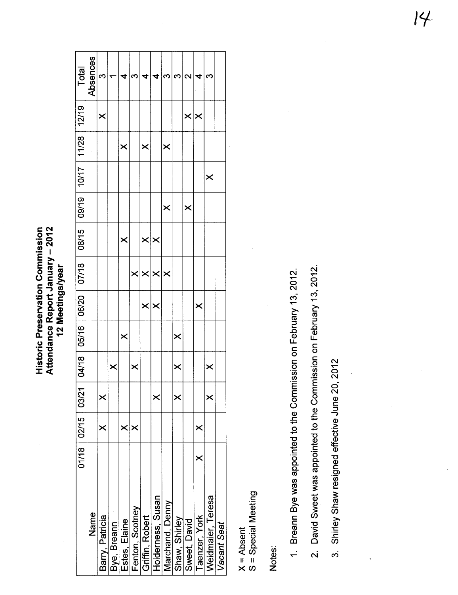Attendance Report January - 2012<br>12 Meetings/year **Historic Preservation Commission** Historic Preservation Commission Attendance Report January - 2012 12 Meetings/year

| Total                                         | Absences | M               |             | ₫             | ຕ               |                 |                       | ᠬ                     | ო                     | $\sim$       | ₹                       | <u>ო</u>          |             |
|-----------------------------------------------|----------|-----------------|-------------|---------------|-----------------|-----------------|-----------------------|-----------------------|-----------------------|--------------|-------------------------|-------------------|-------------|
|                                               |          | ×               |             |               |                 |                 |                       |                       |                       | $\times$     | $\boldsymbol{\times}$   |                   |             |
|                                               |          |                 |             | $\times$      |                 | $\times$        |                       | ×                     |                       |              |                         |                   |             |
|                                               |          |                 |             |               |                 |                 |                       |                       |                       |              |                         | ×                 |             |
|                                               |          |                 |             |               |                 |                 |                       | $\times$              |                       | ×            |                         |                   |             |
|                                               |          |                 |             | $\times$      |                 | $\times$        | ∣×                    |                       |                       |              |                         |                   |             |
| 07/18   08/15   09/19   10/17   11/28   12/19 |          |                 |             |               | $\times$        | $\times$        | $\boldsymbol{\times}$ | $\boldsymbol{\times}$ |                       |              |                         |                   |             |
| 04/18   05/16   06/20                         |          |                 |             |               |                 | $\times$        | ∣×                    |                       |                       |              | $\overline{\mathsf{x}}$ |                   |             |
|                                               |          |                 |             | $\times$      |                 |                 |                       |                       | $\boldsymbol{\times}$ |              |                         |                   |             |
|                                               |          |                 | ×           |               | $\bm{\times}$   |                 |                       |                       | ×                     |              |                         | ×                 |             |
|                                               |          | $\times$        |             |               |                 |                 | $\pmb{\times}$        |                       | ×                     |              |                         | $\pmb{\times}$    |             |
| 01/18   02/15   03/21                         |          | $\times$        |             | $\times$      | $\times$        |                 |                       |                       |                       |              | ×                       |                   |             |
|                                               |          |                 |             |               |                 |                 |                       |                       |                       |              | ×                       |                   |             |
|                                               | Name     | Barry, Patricia | Bye, Breann | Estes, Elaine | Fenton, Scotney | Griffin, Robert | Holderness, Susan     | Marchand, Denny       | Shaw, Shirley         | Sweet, David | Taenzer, York           | Weidmaier, Teresa | Vacant Seat |

X = Absent<br>S = Special Meeting S = Special Meeting

Notes:

1. Breann Bye was appointed to the Commission on February 13, 2012. 1, Breann Bye was appointed to the Commission on February 13, 2012,

2. David Sweet was appointed to the Commission on February 13, 2012. 2, David Sweet was appointed to the Commission on February 13, 2012,

3. Shirley Shaw resigned effective June 20, 2012 3. Shirley Shaw resigned effective June 20,2012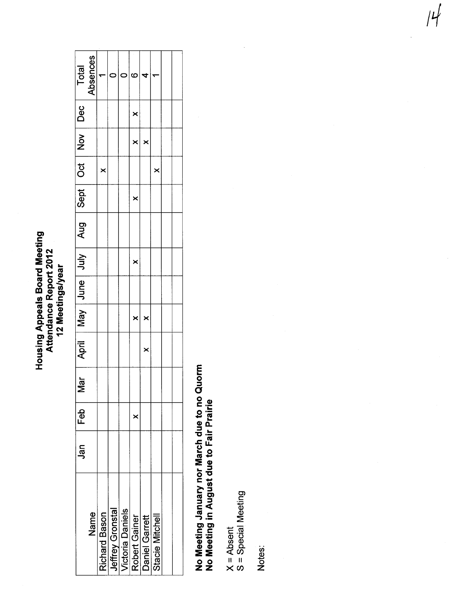### **Housing Appeals Board Meeting** Housing Appeals Board Meeting Attendance Report 2012 Attendance Report 2012 12 Meetings/year 12 Meetings/year

| Total                               | Absences |          |                                                                                                                   | ແ                       |          |          |  |
|-------------------------------------|----------|----------|-------------------------------------------------------------------------------------------------------------------|-------------------------|----------|----------|--|
| Dec                                 |          |          |                                                                                                                   | $\frac{1}{2}$           |          |          |  |
| $\frac{1}{2}$                       |          |          |                                                                                                                   | $\overline{ }$ $\times$ |          |          |  |
|                                     |          | $\times$ |                                                                                                                   |                         |          | $\times$ |  |
| Sept   Oct                          |          |          |                                                                                                                   | $\times$                |          |          |  |
| $\log$ $\frac{1}{\sqrt{11}}$ $\log$ |          |          |                                                                                                                   |                         |          |          |  |
|                                     |          |          |                                                                                                                   | $\times$                |          |          |  |
|                                     |          |          |                                                                                                                   |                         |          |          |  |
|                                     |          |          |                                                                                                                   | $\times$                | ×        |          |  |
| April                               |          |          |                                                                                                                   |                         | $\times$ |          |  |
| Nar                                 |          |          |                                                                                                                   |                         |          |          |  |
| Feb                                 |          |          |                                                                                                                   | $\times$                |          |          |  |
| Jan                                 |          |          |                                                                                                                   |                         |          |          |  |
|                                     | Name     |          | <b>Richard Bason</b><br>Jeffrey Gronstal<br>Victoria Daniels<br>Robert Gainer<br>Daniel Garrett<br>Daniel Garrett |                         |          |          |  |

### No Meeting January nor March due to no Quorm<br>No Meeting in August due to Fair Prairie No Meeting January nor March due to no Quorm No Meeting in August due to Fair Prairie

X = Absent<br>S = Special Meeting S = Special Meeting  $\frac{1}{2}$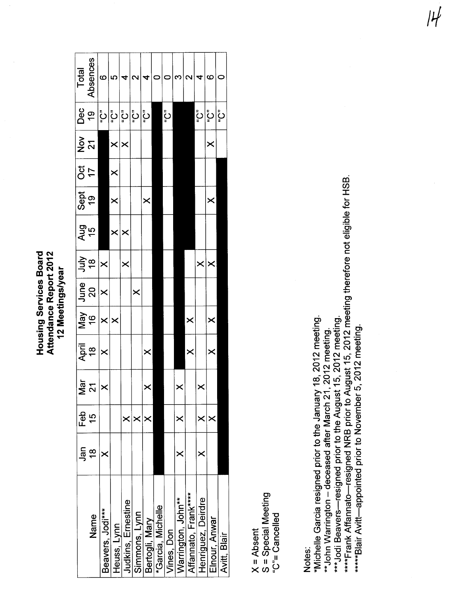**Housing Services Board** Attendance Report 2012 12 Meetings/year

|                           | ลุก           | Feb      | $\overline{\overline{a}}$ | April                 | Vay                   | June                  | $rac{3}{40}$    | and<br>15             | Sept<br>19            | ರ<br>೧   | $\frac{5}{2}$ $\frac{7}{2}$ | Dec       | Total             |
|---------------------------|---------------|----------|---------------------------|-----------------------|-----------------------|-----------------------|-----------------|-----------------------|-----------------------|----------|-----------------------------|-----------|-------------------|
| Name                      | $\frac{8}{1}$ | 57       | $\mathbf{\Omega}$         | $\frac{8}{1}$         | $\frac{8}{1}$         | 20                    |                 |                       |                       | 17       |                             | <u>ဝှ</u> | Absences          |
| Beavers, Jodi***          | ×             |          |                           | $\boldsymbol{\times}$ | $\times$              | $\boldsymbol{\times}$ | $\times$        |                       |                       |          |                             | ڹٙٛ       | ဖ                 |
| Heuss, Lynn               |               |          |                           |                       | $\boldsymbol{\times}$ |                       |                 | $\boldsymbol{\times}$ | $\boldsymbol{\times}$ | $\times$ | $\times \times$             | ڹٙٛ       | 5                 |
| <b>Judkins, Ernestine</b> |               | ×        |                           |                       |                       |                       | $\pmb{\times}$  | $\boldsymbol{\times}$ |                       |          |                             | نًّ إِ    | 4                 |
| Simmons, Lynn             |               | ×        |                           |                       |                       | ×                     |                 |                       |                       |          |                             | رځ        | $\mathbf{\Omega}$ |
| Bertogli, Mary            |               | ×        |                           | ×                     |                       |                       |                 |                       | $\pmb{\times}$        |          |                             | رڠ        | 4                 |
| *Garcia, Michelle         |               |          |                           |                       |                       |                       |                 |                       |                       |          |                             |           | $\circ$           |
| Vines, Don                |               |          |                           |                       |                       |                       |                 |                       |                       |          |                             | ڹٙٛ       | 0                 |
| Warrington, John**        | ×             | ×        |                           |                       |                       |                       |                 |                       |                       |          |                             |           | ω                 |
| Affannato, Frank*****     |               |          |                           | $\times$              | $\times$              |                       |                 |                       |                       |          |                             |           | $\sim$            |
| Henriguez, Deirdre        | ×             | $\times$ |                           |                       |                       |                       | $\times \times$ |                       |                       |          |                             | ڹٙٛ       | 4                 |
| Elnour, Anwar             |               | ×        |                           | $\bm{\times}$         | $\bm{\times}$         |                       |                 |                       | ×                     |          | $\boldsymbol{\times}$       | ڹٙ۫       | ဖ                 |
| Avitt, Blair              |               |          |                           |                       |                       |                       |                 |                       |                       |          |                             | ပြီ       | c                 |
|                           |               |          |                           |                       |                       |                       |                 |                       |                       |          |                             |           |                   |

S = Special Meeting "C"= Cancelled  $X = Absent$ 

Notes:

\*Michelle Garcia resigned prior to the January 18, 2012 meeting. \*\* John Warrington - deceased after March 21, 2012 meeting.

\*\*\*Jodi Beavers—resigned prior to the August 15, 2012 meeting.<br>\*\*\*\*Frank Affannato—resigned NRB prior to August 15, 2012 meeting therefore not eligible for HSB.

 $|H|$ 

\*\*\*\*\*Blair Avitt-appointed prior to November 5, 2012 meeting.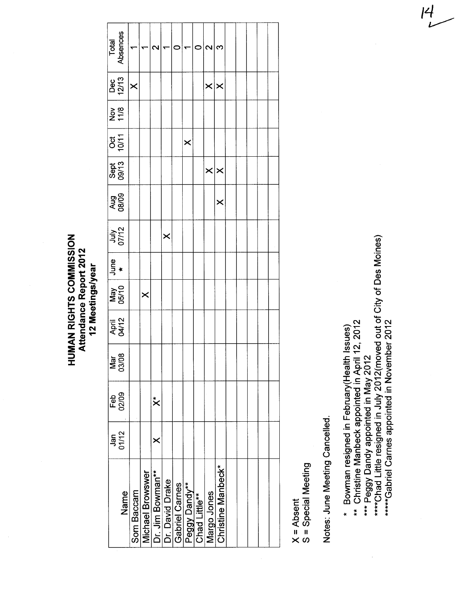**HUMAN RIGHTS COMMISSION** HUMAN RIGHTS COMMISSION Attendance Report 2012 Attendance Report 2012 12 Meetings/year 12 Meetings/year

|                | Total<br>Absences    |                         |                         |                  |                 |                |               |               | $\mathbf{\Omega}$ | Q,                      |  |  |  |
|----------------|----------------------|-------------------------|-------------------------|------------------|-----------------|----------------|---------------|---------------|-------------------|-------------------------|--|--|--|
|                | Dec<br>12/13         | $\overline{\mathsf{x}}$ |                         |                  |                 |                |               |               | $\times \times$   |                         |  |  |  |
| pa<br>11<br>25 |                      |                         |                         |                  |                 |                |               |               |                   |                         |  |  |  |
|                | -<br>ខេត្ត<br>ខេត្ត  |                         |                         |                  |                 |                | $\times$      |               |                   |                         |  |  |  |
|                | Sept<br>09/13        |                         |                         |                  |                 |                |               |               | $\times \times$   |                         |  |  |  |
|                | <b>Aug</b><br>08/09  |                         |                         |                  |                 |                |               |               |                   | $\overline{\mathsf{X}}$ |  |  |  |
|                | <b>July</b><br>O7/12 |                         |                         |                  | $\times$        |                |               |               |                   |                         |  |  |  |
| $J$ une        |                      |                         |                         |                  |                 |                |               |               |                   |                         |  |  |  |
|                | May<br>05/10         |                         | $\times$                |                  |                 |                |               |               |                   |                         |  |  |  |
|                | April<br>04/12       |                         |                         |                  |                 |                |               |               |                   |                         |  |  |  |
|                | ஜ<br>Mar<br>030      |                         |                         |                  |                 |                |               |               |                   |                         |  |  |  |
|                | Feb<br>02/09         |                         |                         | $\ddot{\times}$  |                 |                |               |               |                   |                         |  |  |  |
|                | $Jan$<br>O1/12       |                         |                         | ×                |                 |                |               |               |                   |                         |  |  |  |
|                | Name                 | Som Baccam              | <b>Michael Browswer</b> | Dr. Jim Bowman** | Dr. David Drake | Gabriel Carnes | Peggy Dandy** | Chad Little** | Margo Jones       | Christine Manbeck*      |  |  |  |

X = Absent<br>S = Special Meeting S = Special Meeting Notes: June Meeting Cancelled. Notes: June Meeting Cancelled,

\* Bowman resigned in February(Health Issues)<br>\*\* Christine Manbeck appointed in April 12, 2012 \* Bowman resigned in February(Health Issues)

\*\* Christine Manbeck appointed in April 12, 2012

\*\*\* Peggy Dandy appointed in May 2012

\*\*\* Peggy Dandy appointed in May 2012<br>\*\*\*\*Chad Little resigned in July 2012(moved out of City of Des Moines) \*\*\*\*Chad Little resigned in July 2012(moved out of City of Des Moines) \*\*\*\*\*Gabriel Carnes appointed in November 2012 \*\*\*\*\*Gabriel Carnes appointed in November 2012  $\,l^2$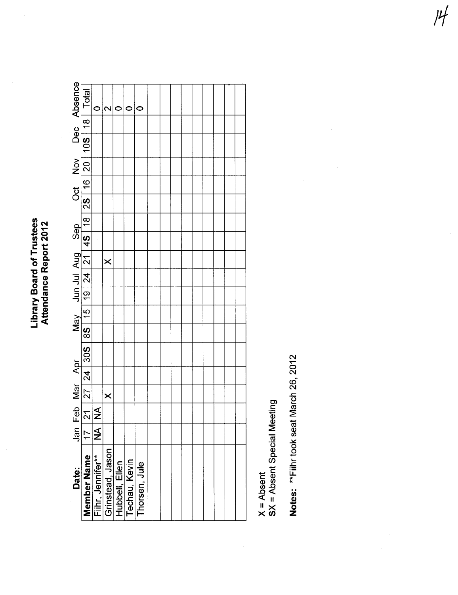**Library Board of Trustees**<br>Attendance Report 2012

|                     |                                                           |                         | $\mathbf{\sim}$  | C                               |               |  |  |  |  |  |
|---------------------|-----------------------------------------------------------|-------------------------|------------------|---------------------------------|---------------|--|--|--|--|--|
|                     |                                                           |                         |                  |                                 |               |  |  |  |  |  |
| Oct Nov Dec Absence | 1 21 27 24 30S 8S 15 19 24 21 4S 18 2S 16 20 10S 18 Total |                         |                  |                                 |               |  |  |  |  |  |
|                     |                                                           |                         |                  |                                 |               |  |  |  |  |  |
|                     |                                                           |                         |                  |                                 |               |  |  |  |  |  |
|                     |                                                           |                         |                  |                                 |               |  |  |  |  |  |
|                     |                                                           |                         |                  |                                 |               |  |  |  |  |  |
|                     |                                                           |                         |                  |                                 |               |  |  |  |  |  |
|                     |                                                           |                         | $\pmb{\times}$   |                                 |               |  |  |  |  |  |
|                     |                                                           |                         |                  |                                 |               |  |  |  |  |  |
|                     |                                                           |                         |                  |                                 |               |  |  |  |  |  |
|                     |                                                           |                         |                  |                                 |               |  |  |  |  |  |
|                     |                                                           |                         |                  |                                 |               |  |  |  |  |  |
|                     |                                                           |                         |                  |                                 |               |  |  |  |  |  |
|                     |                                                           |                         |                  |                                 |               |  |  |  |  |  |
|                     |                                                           |                         |                  |                                 |               |  |  |  |  |  |
|                     |                                                           |                         | $\times$         |                                 |               |  |  |  |  |  |
| Jan Feb Mar Apr     |                                                           |                         |                  |                                 |               |  |  |  |  |  |
|                     | 171                                                       | $\overline{\mathbf{A}}$ |                  |                                 |               |  |  |  |  |  |
| Date:               | <b>Member Name</b>                                        | Fiihr, Jennifer**       | Grinstead, Jason | Hubbell, Ellen<br>Techau, Kevin | Thorsen, Jule |  |  |  |  |  |
|                     |                                                           |                         |                  |                                 |               |  |  |  |  |  |

X = Absent<br>SX = Absent Special Meeting

Notes: \*\* Fiihr took seat March 26, 2012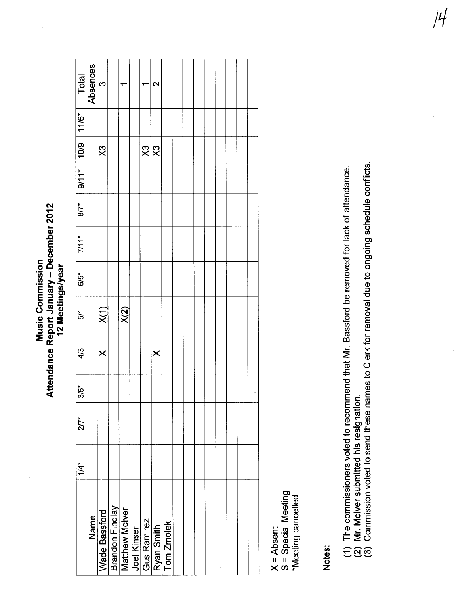Attendance Report January - December 2012 Attendance Report January - December 2012 **Music Commission** Music Commission 12 Meetings/year 12 Meetings/year

|                      | Total<br>Absences | $\frac{1}{2}$           |                                          |                                   | 2        |                          |  |  |  |  |
|----------------------|-------------------|-------------------------|------------------------------------------|-----------------------------------|----------|--------------------------|--|--|--|--|
| $9/11*$ 10/9   11/6* |                   |                         |                                          |                                   |          |                          |  |  |  |  |
|                      |                   | $\overline{\mathsf{x}}$ |                                          | $\frac{1}{2}$                     |          |                          |  |  |  |  |
|                      |                   |                         |                                          |                                   |          |                          |  |  |  |  |
| $87*$                |                   |                         |                                          |                                   |          |                          |  |  |  |  |
| $7/11*$              |                   |                         |                                          |                                   |          |                          |  |  |  |  |
| $6/5$ <sup>*</sup>   |                   |                         |                                          |                                   |          |                          |  |  |  |  |
| 5/1                  |                   | $\overline{X(1)}$       | X(2)                                     |                                   |          |                          |  |  |  |  |
| 4/3                  |                   | $\times$                |                                          |                                   | $\times$ |                          |  |  |  |  |
| $3/6*$               |                   |                         |                                          |                                   |          |                          |  |  |  |  |
| $27*$                |                   |                         |                                          |                                   |          |                          |  |  |  |  |
| $1/4$ *              |                   |                         |                                          |                                   |          |                          |  |  |  |  |
|                      | Name              | <b>Wade Bassford</b>    | <b>Brandon Findlay</b><br>Matthew McIver | <u>Joel Kinser</u><br>Gus Ramirez |          | Ryan Smith<br>Tom Zmolek |  |  |  |  |

X = Absent<br>S = Special Meeting<br>\*Meeting cancelled S = Special Meeting \*Meeting cancelled

Notes:

- (1) The commissioners voted to recommend that Mr. Bassford be removed for lack of attendance.<br>(2) Mr. McIver submitted his resignation.<br>(3) Commission voted to send these names to Clerk for removal due to ongoing schedule (1) The commissioners voted to recommend that Mr. Bassford be removed for lack of attendance,
	- (2) Mr, Mciver submitted his resignation.
- (3) Commission voted to send these names to Clerk for removal due to ongoing schedule conflicts,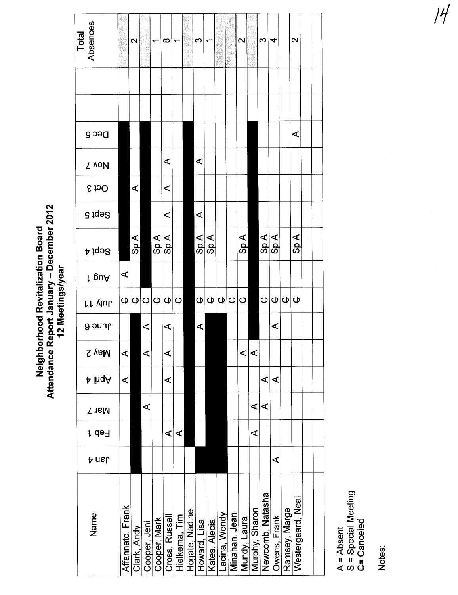| Total<br>Absences |                  | 2           |              | ᡪ                                   | $\infty$             |                |                | S                           |               |              |               | $\mathbf{\Omega}$ |                | S                | 4              |               | 2                    |  |
|-------------------|------------------|-------------|--------------|-------------------------------------|----------------------|----------------|----------------|-----------------------------|---------------|--------------|---------------|-------------------|----------------|------------------|----------------|---------------|----------------------|--|
|                   |                  |             |              |                                     |                      |                |                |                             |               |              |               |                   |                |                  |                |               |                      |  |
| Dec 5             |                  |             |              |                                     |                      |                |                |                             |               |              |               |                   |                |                  |                |               | $\blacktriangleleft$ |  |
| Z voN             |                  |             |              |                                     | $\blacktriangleleft$ |                |                | ⋖                           |               |              |               |                   |                |                  |                |               |                      |  |
| <b>S</b> to O     |                  | ⋖           |              |                                     | $\blacktriangleleft$ |                |                |                             |               |              |               |                   |                |                  |                |               |                      |  |
| G tqə2            |                  |             |              |                                     | ⋖                    |                |                | ⋖                           |               |              |               |                   |                |                  |                |               |                      |  |
| A jqə2            |                  | Sp A        |              | Sp A                                | Sp A                 |                |                | $\mathsf{Sp} \, \mathsf{A}$ | $\frac{4}{3}$ |              |               | $\frac{4}{3}$     |                | Sp A             | Sp A           |               | Sp A                 |  |
| r guA             | ⋖                |             |              |                                     |                      |                |                |                             |               |              |               |                   |                |                  |                |               |                      |  |
| <b>LL VIUL</b>    | $\pmb\cup$       |             |              | $\Theta$ $\Theta$ $\Theta$ $\Theta$ |                      | $\mathbf \Phi$ |                | $\omega$                    |               | Q Q Q Q      |               |                   |                | $\omega$         | $\omega \phi $ |               |                      |  |
| <b>Jund</b>       |                  |             | ⋖            |                                     | ⋖                    |                |                | ⋖                           |               |              |               |                   |                |                  | ⋖              |               |                      |  |
| <b>S</b> vaM      |                  |             |              |                                     | ๔                    |                |                |                             |               |              |               | ব।                | ⊄              |                  |                |               |                      |  |
| A linqA           | ⋖                |             |              |                                     | ⋖                    |                |                |                             |               |              |               |                   |                | ⋖                | ⋖              |               |                      |  |
| Nar 7             |                  |             | ⋖            |                                     |                      |                |                |                             |               |              |               |                   | ⋖              | ⋖                |                |               |                      |  |
| r də∃             |                  |             |              |                                     | ⋖                    | ⋖              |                |                             |               |              |               |                   | ⋖              |                  |                |               |                      |  |
| <b>A</b> nsl      |                  |             |              |                                     |                      |                |                |                             |               |              |               |                   |                |                  | ⋖              |               |                      |  |
| Name              | Affannato, Frank | Clark, Andy | Cooper, Jeni | Cooper, Mark                        | Cross, Russell       | Hielkema, Tim  | Hogate, Nadine | Howard, Lisa                | Kates, Alecia | acina, Wendy | Minahan, Jean | Mundy, Laura      | Murphy, Sharon | Newcomb, Natasha | Owens, Frank   | Ramsey, Marge | Westergaard, Neal    |  |

A = Absent G= Canceled S = Special Meeting

 $\frac{1}{2}$ Notes: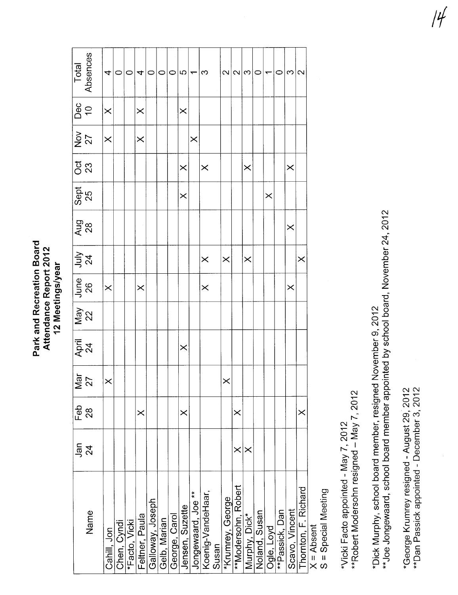Park and Recreation Board<br>Attendance Report 2012 12 Meetings/year

|            | Total<br>Absences  | 4           | $\circ$     | $\circ$       | 4              | $\circ$          | $\circ$      | $\circ$       | 5               |                               | S                 |       |                  | $\alpha \alpha \varpi$ |               | $\circ$       | $\overline{\phantom{0}}$ | 0              | $\infty$       | $\mathbf{\Omega}$    |                    |
|------------|--------------------|-------------|-------------|---------------|----------------|------------------|--------------|---------------|-----------------|-------------------------------|-------------------|-------|------------------|------------------------|---------------|---------------|--------------------------|----------------|----------------|----------------------|--------------------|
|            | Dec<br>10          | $\times$    |             |               | $\times$       |                  |              |               | $\times$        |                               |                   |       |                  |                        |               |               |                          |                |                |                      |                    |
|            | $\frac{27}{27}$    | $\times$    |             |               | $\times$       |                  |              |               |                 | $\times$                      |                   |       |                  |                        |               |               |                          |                |                |                      |                    |
| ិ<br>23    |                    |             |             |               |                |                  |              |               | $\times$        |                               | $\times$          |       |                  |                        | $\times$      |               |                          |                | $\times$       |                      |                    |
| Sept<br>25 |                    |             |             |               |                |                  |              |               | $\times$        |                               |                   |       |                  |                        |               |               | $\times$                 |                |                |                      |                    |
|            | Aug<br>28          |             |             |               |                |                  |              |               |                 |                               |                   |       |                  |                        |               |               |                          |                | $\times$       |                      |                    |
|            | $\frac{1}{2}a$     |             |             |               |                |                  |              |               |                 |                               | $\times$          |       | $\times$         |                        | $\times$      |               |                          |                |                | $\times$             |                    |
|            | June<br>26         | $\times$    |             |               | $\times$       |                  |              |               |                 |                               | $\times$          |       |                  |                        |               |               |                          |                | $\times$       |                      |                    |
|            | $\frac{May}{22}$   |             |             |               |                |                  |              |               |                 |                               |                   |       |                  |                        |               |               |                          |                |                |                      |                    |
|            | April<br>24        |             |             |               |                |                  |              |               | $\times$        |                               |                   |       |                  |                        |               |               |                          |                |                |                      |                    |
|            | $\frac{5}{27}$     | $\times$    |             |               |                |                  |              |               |                 |                               |                   |       | $\times$         |                        |               |               |                          |                |                |                      |                    |
| Feb        | 28                 |             |             |               | $\times$       |                  |              |               | $\times$        |                               |                   |       |                  | $\times$               |               |               |                          |                |                | $\times$             |                    |
|            | ភ្នំ $\frac{5}{2}$ |             |             |               |                |                  |              |               |                 |                               |                   |       |                  | $\times$               |               |               |                          |                |                |                      |                    |
|            | Name               | Cahill, Jon | Chen, Cyndi | *Facto, Vicki | Feltner, Paula | Galloway, Joseph | Gelb, Marian | George, Carol | Jensen, Suzette | Jongewaard, Joe <sup>**</sup> | Koenig-VandeHaar, | Susan | *Krumrey, George | **Modersohn, Robert    | Murphy, Dick* | Noland, Susan | Ogle, Loyd               | **Passick, Dan | Scavo, Vincent | Thornton, F. Richard | $X = \Delta$ heant |

X = Absent<br>S = Special Meeting

\*\*Robert Modersohn resigned - May 7, 2012 \*Vicki Facto appointed - May 7, 2012

\*\*Joe Jongewaard, school board member appointed by school board, November 24, 2012 \*Dick Murphy, school board member, resigned November 9, 2012

\*George Krumrey resigned - August 29, 2012 \*\*Dan Passick appointed - December 3, 2012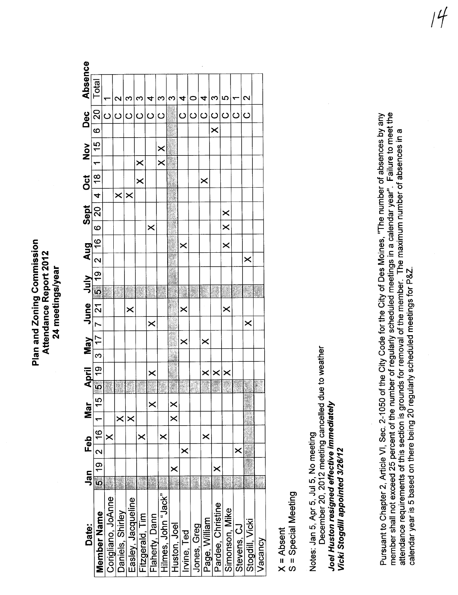Plan and Zoning Commission Plan and Zoning Commission Attendance Report 2012 Attendance Report 2012 24 meetings/year 24 meetings/year

| Date:               | Jan          |          | Feb            |                         | Mar                  |                         |                   |                |          |                       | April May June July Aug |                                           |                       | Sept           |               | Oct                   |                         | $\frac{8}{100}$ | Dec            |                                         | <b>Absence</b> |  |
|---------------------|--------------|----------|----------------|-------------------------|----------------------|-------------------------|-------------------|----------------|----------|-----------------------|-------------------------|-------------------------------------------|-----------------------|----------------|---------------|-----------------------|-------------------------|-----------------|----------------|-----------------------------------------|----------------|--|
| Member Name         | <br> ე<br> ე |          | $\frac{16}{2}$ | $\overline{\mathbf{r}}$ | $\frac{5}{1}$        | $\overline{\mathbf{5}}$ | $\frac{1}{9}$     | 3 17           |          |                       | 7 21 55 19              | $\frac{16}{2}$<br>$\overline{\mathbf{z}}$ | $\overline{6}$        | $\frac{1}{20}$ | $\frac{1}{4}$ | $\frac{18}{18}$       | $\equiv$                | $\frac{15}{10}$ | $\overline{6}$ | 20                                      | Total          |  |
| Corigliano, JoAnne  |              |          | $\times$       |                         |                      |                         |                   |                |          |                       |                         |                                           |                       |                |               |                       |                         |                 |                |                                         |                |  |
| Daniels, Shirley    |              |          |                | $\times$                |                      |                         |                   |                |          |                       |                         |                                           |                       |                | $\times$      |                       |                         |                 |                | 2                                       |                |  |
| Easley, Jacqueline  |              |          |                | $\pmb{\times}$          |                      |                         |                   |                |          | $\boldsymbol{\times}$ |                         |                                           |                       |                | $\times$      |                       |                         |                 |                | S                                       |                |  |
| Fitzgerald, Tim     |              |          | $\times$       |                         |                      |                         |                   |                |          |                       |                         |                                           |                       |                |               | $\times$              | $\times$                |                 |                | S                                       |                |  |
| Flaherty, Dann      |              |          |                |                         | $\times$             |                         | $\pmb{\times}$    |                | $\times$ |                       |                         |                                           | $\boldsymbol{\times}$ |                |               |                       |                         |                 |                | $\overline{\mathbf{r}}$<br> ပ ပ ပ ပ ပ ပ |                |  |
| Hilmes, John "Jack" |              |          | ×              |                         |                      |                         |                   |                |          |                       |                         |                                           |                       |                |               |                       | $\overline{\mathbf{x}}$ | $\times$        |                | က                                       |                |  |
| Huston, Joel        | ×            |          |                |                         | $\times$<br>$\times$ |                         |                   |                |          |                       |                         |                                           |                       |                |               |                       |                         |                 |                | S                                       |                |  |
| Irvine, Ted         | Ź            |          | ×              |                         |                      | iku<br>M                |                   | $\pmb{\times}$ |          | ×                     |                         | $\bm{\times}$                             |                       |                |               |                       |                         |                 |                | 4<br>$\overline{O}$                     |                |  |
| Jones, Greg         |              |          |                |                         |                      | S.                      |                   |                |          |                       |                         |                                           |                       |                |               |                       |                         |                 |                | 0<br>$\circ$                            |                |  |
| Page, William       |              |          | $\times$       |                         |                      | i                       | $\times$          | $\times$       |          |                       |                         |                                           |                       |                |               | $\boldsymbol{\times}$ |                         |                 |                | 4<br>$ $ ပ $ $ ပ $ $ ပ                  |                |  |
| Pardee, Christine   |              | $\times$ |                |                         |                      |                         |                   |                |          |                       |                         |                                           |                       |                |               |                       |                         |                 | $\times$       | က                                       |                |  |
| Simonson, Mike      |              |          |                |                         |                      |                         | $\times$ $\times$ |                |          | $\times$              |                         | $\times$                                  | $\sum_{i=1}^{n}$      | $\times$       |               |                       |                         |                 |                | မာ                                      |                |  |
| Stevens, CJ         |              |          | ×              |                         |                      |                         |                   |                |          |                       |                         |                                           |                       |                |               |                       |                         |                 |                | $\overline{\circ}$                      |                |  |
| Stogdill, Vicki     |              |          |                |                         |                      |                         |                   |                | ×        |                       |                         | $\times$                                  |                       |                |               |                       |                         |                 |                | $\mathbf{\Omega}$<br>$\overline{O}$     |                |  |
| Vacancy             |              |          |                |                         |                      |                         |                   |                |          |                       |                         |                                           |                       |                |               |                       |                         |                 |                |                                         |                |  |
| そくしょく ファ            |              |          |                |                         |                      |                         |                   |                |          |                       |                         |                                           |                       |                |               |                       |                         |                 |                |                                         |                |  |

X = Absent<br>S = Special Meeting S = Special Meeting

December 20, 2012 meeting cancelled due to weather December 20,2012 meeting cancelled due to weather Joel Huston resigned effective immediately Joel Huston resigned effective immediately Notes: Jan 5, Apr 5, Jul 5, No meeting Notes: Jan 5, Apr 5, Jul 5, No meeting Vicki Stogdill appointed 3/26/12 Vicki Stogdil appointed 3/26/12

calendar year is 5 based on there being 20 regularly scheduled meetings for P&Z, --~i all and the company of the number of regularly scheduled meetings in a calendar year". Failure to meet the member shall not exceed 25 percent of the number of regularly scheduled meetings in a calendar year". Failure to Pursuant to Chapter 2, Article VI, Sec. 2-1050 of the City Code for the City of Des Moines, "The number of absences by any member shall not exceed 25 percent of the number of regularly scheduled meetings in a calendar year", Failure to meet the<br>"The monotor shall not exceed 25 percent of the number of regulary, actually scheduled meeting and a Pursuant to Chapter 2, Article Vi, Sec, 2-1050 of the City Code for the City of Des Moines, "The number of absences by any interinoti sirall rivit exceed zo percent or the ritunce, or regularity occurred.com and maximum number of absences in a<br>attendance requirements of this section is grounds for removal of the member. The maximum number of a attendance requirements of this section is grounds for removal of the member, The maximum number of absences in a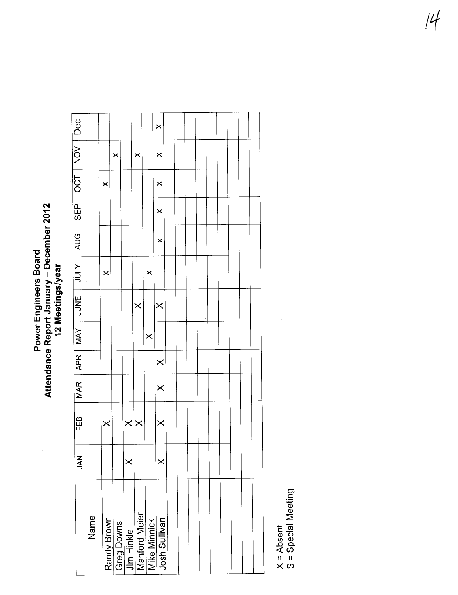# Power Engineers Board<br>Attendance Report January – December 2012<br>12 Meetings/year

|                 |      |          |                                                                          |                   |          |          | ×             |  |  |  |  |  |
|-----------------|------|----------|--------------------------------------------------------------------------|-------------------|----------|----------|---------------|--|--|--|--|--|
| OCT   NOV   Dec |      |          | $\times$                                                                 |                   | ×        |          | ×             |  |  |  |  |  |
|                 |      | $\times$ |                                                                          |                   |          |          | $\times$      |  |  |  |  |  |
| 0日<br>50        |      |          |                                                                          |                   |          |          | $\times$      |  |  |  |  |  |
| 9UC<br>⊋        |      |          |                                                                          |                   |          |          | $\times$      |  |  |  |  |  |
| ココン             |      | $\times$ |                                                                          |                   |          | $\times$ |               |  |  |  |  |  |
| <b>HANG</b>     |      |          |                                                                          |                   | $\times$ |          | $\times$      |  |  |  |  |  |
| <b>MAY</b>      |      |          |                                                                          |                   |          | $\times$ |               |  |  |  |  |  |
| $ $ APR $ $     |      |          |                                                                          |                   |          |          | $\times$      |  |  |  |  |  |
| MAR <sup></sup> |      |          |                                                                          |                   |          |          | $\times$      |  |  |  |  |  |
| FEB             |      | $\times$ |                                                                          | $\times$ $\times$ |          |          | $\times$      |  |  |  |  |  |
| <b>NAL</b>      |      |          |                                                                          | $\times$          |          |          | $\times$      |  |  |  |  |  |
|                 | Name |          | Randy Brown<br>Greg Downs<br>Jim Hinkle<br>Manford Meier<br>Mike Minnick |                   |          |          | Josh Sullivan |  |  |  |  |  |

X = Absent<br>S = Special Meeting

 $\frac{1}{2}$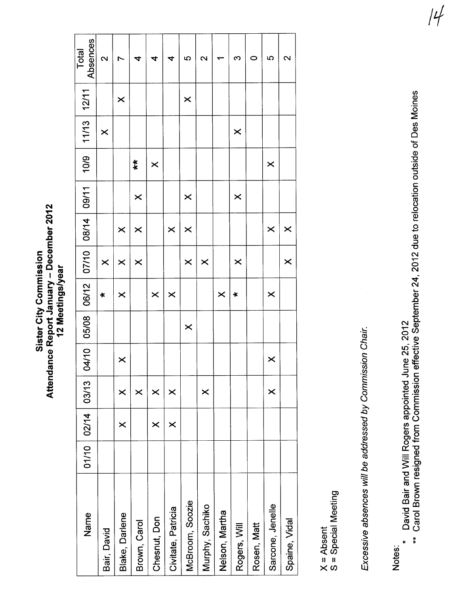### Attendance Report January - December 2012 Attendance Report January - December 2012 Sister City Commission Sister City Commission 12 Meetings/year 12 Meetings/year

| Absences<br>Total | $\mathbf{\Omega}$ |                       | 4                     | 4                     | 4                  | မာ                    | 2               |                       | ო                     | 0           | မာ                    | 2             |
|-------------------|-------------------|-----------------------|-----------------------|-----------------------|--------------------|-----------------------|-----------------|-----------------------|-----------------------|-------------|-----------------------|---------------|
| 12/11             |                   | $\boldsymbol{\times}$ |                       |                       |                    | $\times$              |                 |                       |                       |             |                       |               |
| $11/13$           | $\times$          |                       |                       |                       |                    |                       |                 |                       | $\times$              |             |                       |               |
| 10/9              |                   |                       | $\ddot{*}$            | $\times$              |                    |                       |                 |                       |                       |             | $\times$              |               |
| 09/11             |                   |                       | $\boldsymbol{\times}$ |                       |                    | $\times$              |                 |                       | $\boldsymbol{\times}$ |             |                       |               |
| 08/14             |                   | $\times$              | $\boldsymbol{\times}$ |                       | $\times$           | $\boldsymbol{\times}$ |                 |                       |                       |             | $\times$              | $\times$      |
| 07/10             | $\times$          | $\times$              | $\boldsymbol{\times}$ |                       |                    | $\boldsymbol{\times}$ | $\times$        |                       | $\boldsymbol{\times}$ |             |                       | ×             |
| 06/12             | $\ast$            | $\boldsymbol{\times}$ |                       | $\boldsymbol{\times}$ | $\times$           |                       |                 | $\boldsymbol{\times}$ | $\ast$                |             | $\boldsymbol{\times}$ |               |
| 05/08             |                   |                       |                       |                       |                    | $\times$              |                 |                       |                       |             |                       |               |
| 04/10             |                   | ×                     |                       |                       |                    |                       |                 |                       |                       |             | $\boldsymbol{\times}$ |               |
| 03/13             |                   | ×                     | $\pmb{\times}$        | ×                     | $\times$           |                       | $\times$        |                       |                       |             | $\times$              |               |
| 01/10 02/14       |                   | $\times$              |                       | ×                     | $\times$           |                       |                 |                       |                       |             |                       |               |
|                   |                   |                       |                       |                       |                    |                       |                 |                       |                       |             |                       |               |
| Name              | Bair, David       | Blake, Darlene        | Brown, Carol          | Chesnut, Don          | Civitate, Patricia | McBroom, Soozie       | Murphy, Sachiko | Nelson, Martha        | Rogers, Will          | Rosen, Matt | Sarcone, Jenelle      | Spaine, Vidal |

X = Absent<br>S = Special Meeting S = Special Meeting Excessive absences will be addressed by Commission Chair. Excessive absences wil be addressed by Commission Chair,

- \* David Bair and Will Rogers appointed June 25, 2012
- Notes:<br>\* David Bair and Will Rogers appointed June 25, 2012<br>\*\* Carol Brown resigned from Commission effective September 24, 2012 due to relocation outside of Des Moines \*\* Carol Brown resigned from Commission effective September 24, 2012 due to relocation outside of Des Moines ---t

 $|4|$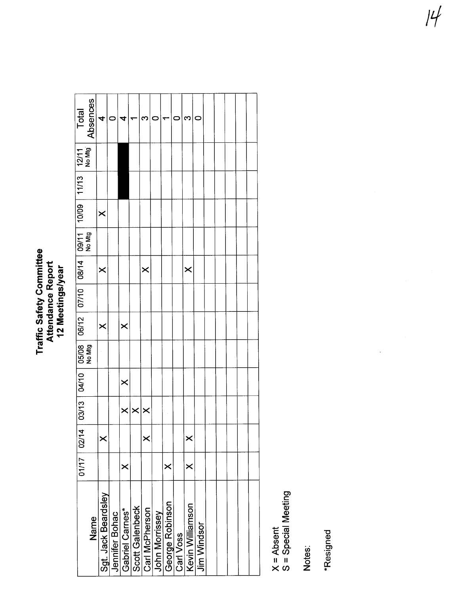### Traffic Safety Committee<br>Attendance Report<br>12 Meetings/year Traffic Safety Committee Attendance Report 12 Meetings/year

| Total                                                                                                                      | Absences | 4                     | c              | 4               |                 | ო                       | c              |                 |           | ო                       | c                  |  |  |  |
|----------------------------------------------------------------------------------------------------------------------------|----------|-----------------------|----------------|-----------------|-----------------|-------------------------|----------------|-----------------|-----------|-------------------------|--------------------|--|--|--|
|                                                                                                                            |          |                       |                |                 |                 |                         |                |                 |           |                         |                    |  |  |  |
|                                                                                                                            |          |                       |                |                 |                 |                         |                |                 |           |                         |                    |  |  |  |
|                                                                                                                            |          | $\times$              |                |                 |                 |                         |                |                 |           |                         |                    |  |  |  |
| 03/13 04/10 05/08 06/12 07/10 08/14 09/11 10/09 11/13 12/11<br>03/13 04/10 05/08 06/12 07/10 08/14 09/11 10009 11/13 12/14 |          |                       |                |                 |                 |                         |                |                 |           |                         |                    |  |  |  |
|                                                                                                                            |          | $\times$              |                |                 |                 | $\overline{\mathsf{x}}$ |                |                 |           | $\overline{\mathsf{x}}$ |                    |  |  |  |
|                                                                                                                            |          |                       |                |                 |                 |                         |                |                 |           |                         |                    |  |  |  |
|                                                                                                                            |          | $\boldsymbol{\times}$ |                | $\times$        |                 |                         |                |                 |           |                         |                    |  |  |  |
|                                                                                                                            |          |                       |                |                 |                 |                         |                |                 |           |                         |                    |  |  |  |
|                                                                                                                            |          |                       |                | $\times$        |                 |                         |                |                 |           |                         |                    |  |  |  |
|                                                                                                                            |          |                       |                | $\times$        |                 | $\times$ $\times$       |                |                 |           |                         |                    |  |  |  |
|                                                                                                                            |          | $\times$              |                |                 |                 | $\times$                |                |                 |           | $\times$                |                    |  |  |  |
| 01/17 02/14                                                                                                                |          |                       |                | ×               |                 |                         |                | $\times$        |           | ×                       |                    |  |  |  |
|                                                                                                                            | Name     | Sgt. Jack Beardsley   | Jennifer Bohac | Gabriel Carnes* | Scott Galenbeck | Carl McPherson          | John Morrissey | George Robinson | Carl Voss | Kevin Williamson        | <b>Jim Windsor</b> |  |  |  |

X = Absent<br>S = Special Meeting

S = Special Meeting

Notes:

\*Resigned --~\*Resigned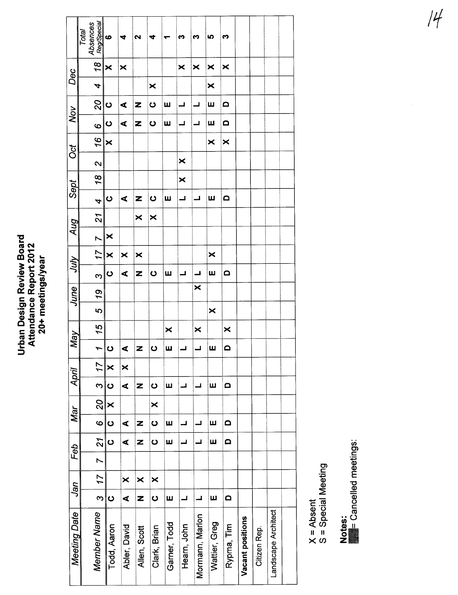## Urban Design Review Board<br>Attendance Report 2012<br>20+ meetings/year

|                     | Reg/Special<br>Absences<br>Total | $\bullet$               | 4            | 2                       | 4            | ÷                     | m                                        | m                       | မာ                    | m          |                  |              |                     |  |
|---------------------|----------------------------------|-------------------------|--------------|-------------------------|--------------|-----------------------|------------------------------------------|-------------------------|-----------------------|------------|------------------|--------------|---------------------|--|
| Dec                 | 18                               | $\overline{\mathsf{x}}$ | ×            |                         |              |                       | $\times$                                 | $\overline{\mathsf{x}}$ | $\boldsymbol{\times}$ | ×          |                  |              |                     |  |
|                     | 4                                |                         |              |                         | ×            |                       |                                          |                         | ×                     |            |                  |              |                     |  |
| Nov                 | 20                               | $\mathbf{o}$            | ⋖            | Z                       | $\mathbf{o}$ | Щ                     | ┙                                        | ┙                       | Щ                     | $\Omega$   |                  |              |                     |  |
|                     | စ                                | $\bullet$               | ⋖            | Z                       | $\bullet$    | Ш                     | ┙                                        | ᆜ                       | Щ                     | $\Omega$   |                  |              |                     |  |
| ð                   | 16                               | ×                       |              |                         |              |                       |                                          |                         | ×                     | ×          |                  |              |                     |  |
|                     | $\mathbf{\Omega}$                |                         |              |                         |              |                       | $\overline{\mathsf{x}}$                  |                         |                       |            |                  |              |                     |  |
| Sept                | 18                               |                         |              |                         |              |                       | $\overline{\mathsf{x}}$                  |                         |                       |            |                  |              |                     |  |
|                     | $\overline{\boldsymbol{r}}$      | $\bullet$               | ⋖            | Z                       | ပ            | Щ                     | ┙                                        | است                     | Ш                     | $\Omega$   |                  |              |                     |  |
| Aug                 | 21                               |                         |              | $\overline{\mathsf{x}}$ | ×            |                       |                                          |                         |                       |            |                  |              |                     |  |
|                     | $\overline{ }$                   | ×                       |              |                         |              |                       |                                          |                         |                       |            |                  |              |                     |  |
| Anr                 | 17                               | $\overline{\mathsf{x}}$ | ×            | ×                       |              |                       |                                          |                         | $\times$              |            |                  |              |                     |  |
|                     | ო                                | $\mathbf{o}$            | ⋖            | Z                       | $\bullet$    | Ш                     | $\overline{\phantom{0}}$                 | ᆜ                       | ш                     | $\Omega$   |                  |              |                     |  |
| June                | 19                               |                         |              |                         |              |                       |                                          | ×                       |                       |            |                  |              |                     |  |
|                     | 5                                |                         |              |                         |              |                       |                                          |                         | $\boldsymbol{\times}$ |            |                  |              |                     |  |
| <b>May</b>          | 15                               |                         |              |                         |              | $\boldsymbol{\times}$ |                                          | ×                       |                       | ×          |                  |              |                     |  |
|                     | $\overline{ }$                   | $\mathbf 0$             | ⋖            | Z                       | $\mathbf C$  | Ш                     |                                          | ᆜ                       | Ш                     | $\Omega$   |                  |              |                     |  |
| April               | 17                               | ×                       | ×            |                         |              |                       |                                          |                         |                       |            |                  |              |                     |  |
|                     | $\infty$                         | $\bullet$               | ⋖            | Z                       | $\bullet$    | Ш                     | ᆜ                                        | ┙                       | Ш                     | $\Omega$   |                  |              |                     |  |
| Mar                 | 20                               | $\times$                |              |                         | ×            |                       |                                          |                         |                       |            |                  |              |                     |  |
|                     | $\overline{6}$                   | $\ddot{\mathbf{c}}$     | ⋖            | Z                       | $\bullet$    | Ш                     | الد                                      | ┛                       | Щ                     | $\Omega$   |                  |              |                     |  |
| Feb                 | $\frac{1}{27}$                   | ပ                       | ⋖            | Z                       | $\mathbf 0$  | Ш                     | اس                                       | ┛                       | Ш                     | $\Omega$   |                  |              |                     |  |
|                     | $\overline{\phantom{a}}$         |                         |              |                         |              |                       |                                          |                         |                       |            |                  |              |                     |  |
| Jan                 | 17                               |                         | ×            | ×                       | ×            |                       |                                          |                         |                       |            |                  |              |                     |  |
|                     | ო $\overline{3}$                 | $\bullet$               | ⋖            | Z                       | $\mathbf 0$  | Ш                     | $\mathbf{\mathbf{\mathbf{\mathbf{-1}}}}$ | ᆚ                       | Щ                     | $\Omega$   |                  |              |                     |  |
| <b>Meeting Date</b> | <b>Member Name</b>               | Todd, Aaron             | Abler, David | Allen, Scott            | Clark, Brian | Garner, Todd          | Hearn, John                              | Mormann, Marlon         | Wattier, Greg         | Rypma, Tim | Vacant positions | Citizen Rep. | Landscape Architect |  |

X = Absent<br>S = Special Meeting

Notes:<br>**Exercicled** meetings:

 $14$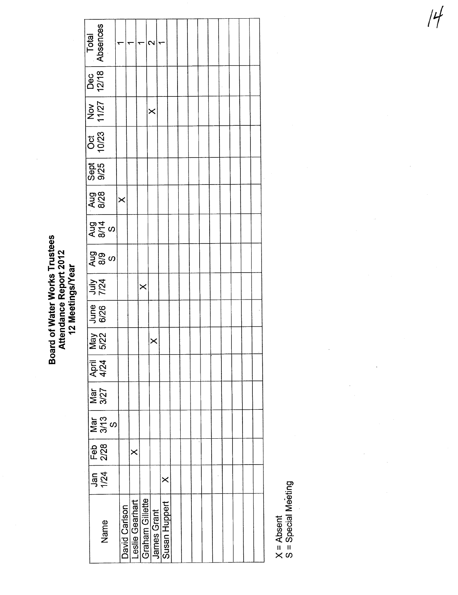Board of Water Works Trustees<br>Attendance Report 2012<br>12 Meetings/Year Board of Water Works Trustees Attendance Report 2012 12 Meetings/Year

| Total<br>Absences   |                                                                                       |               |                 | ₹                      | $\sim$             |               |  |  |  |  |  |  |  |
|---------------------|---------------------------------------------------------------------------------------|---------------|-----------------|------------------------|--------------------|---------------|--|--|--|--|--|--|--|
| Dec<br>12/18        |                                                                                       |               |                 |                        |                    |               |  |  |  |  |  |  |  |
| Nov<br>11/27        |                                                                                       |               |                 |                        | $\times$           |               |  |  |  |  |  |  |  |
| 0tt<br>10/23        |                                                                                       |               |                 |                        |                    |               |  |  |  |  |  |  |  |
| <b>Sept</b><br>9/25 |                                                                                       |               |                 |                        |                    |               |  |  |  |  |  |  |  |
| Aug<br>8/28         |                                                                                       | $\times$      |                 |                        |                    |               |  |  |  |  |  |  |  |
|                     | $\frac{25}{8}$<br>8/14                                                                |               |                 |                        |                    |               |  |  |  |  |  |  |  |
|                     | ა<br>მა<br>ა                                                                          |               |                 |                        |                    |               |  |  |  |  |  |  |  |
|                     | July<br>7/24                                                                          |               |                 | $\times$               |                    |               |  |  |  |  |  |  |  |
|                     | June<br>6/26                                                                          |               |                 |                        |                    |               |  |  |  |  |  |  |  |
|                     | May<br>5/22                                                                           |               |                 |                        | $\times$           |               |  |  |  |  |  |  |  |
|                     | <b>April</b><br>4/24                                                                  |               |                 |                        |                    |               |  |  |  |  |  |  |  |
|                     | Mar<br>3/27                                                                           |               |                 |                        |                    |               |  |  |  |  |  |  |  |
|                     | $Mar$<br>$3/13$<br>$S$                                                                |               |                 |                        |                    |               |  |  |  |  |  |  |  |
|                     | $\begin{array}{c} \begin{array}{c} \text{Feb} \\ \text{2/28} \end{array} \end{array}$ |               | $\times$        |                        |                    |               |  |  |  |  |  |  |  |
|                     | Jan<br>1/24                                                                           |               |                 |                        |                    | $\times$      |  |  |  |  |  |  |  |
|                     | Name                                                                                  | David Carlson | Leslie Gearhart | <b>Graham Gillette</b> | <b>James Grant</b> | Susan Huppert |  |  |  |  |  |  |  |

X = Absent<br>S = Special Meeting  $\frac{1}{2}$ <br> $\frac{1}{2}$ <br> $\frac{1}{2}$ <br> $\frac{1}{2}$ <br> $\frac{1}{2}$ <br> $\frac{1}{2}$ <br> $\frac{1}{2}$ <br> $\frac{1}{2}$ <br> $\frac{1}{2}$ <br> $\frac{1}{2}$ <br> $\frac{1}{2}$ <br> $\frac{1}{2}$ <br> $\frac{1}{2}$ <br> $\frac{1}{2}$ <br> $\frac{1}{2}$ <br> $\frac{1}{2}$ <br> $\frac{1}{2}$ <br> $\frac{1}{2}$ <br> $\frac{1}{2}$ <br> $\frac{1}{2}$ <br> $\frac{1}{2}$ <br><br> $\frac{1}{2}$ <br>